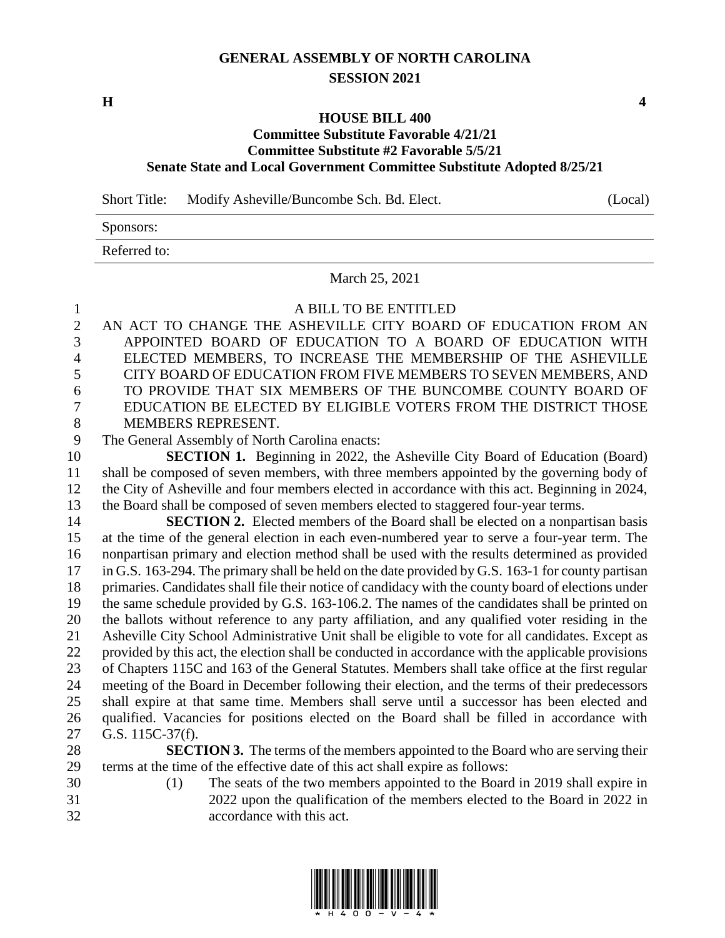## **GENERAL ASSEMBLY OF NORTH CAROLINA SESSION 2021**

## **HOUSE BILL 400**

## **Committee Substitute Favorable 4/21/21 Committee Substitute #2 Favorable 5/5/21 Senate State and Local Government Committee Substitute Adopted 8/25/21**

Short Title: Modify Asheville/Buncombe Sch. Bd. Elect. (Local)

Sponsors:

Referred to:

March 25, 2021

A BILL TO BE ENTITLED

 AN ACT TO CHANGE THE ASHEVILLE CITY BOARD OF EDUCATION FROM AN APPOINTED BOARD OF EDUCATION TO A BOARD OF EDUCATION WITH ELECTED MEMBERS, TO INCREASE THE MEMBERSHIP OF THE ASHEVILLE CITY BOARD OF EDUCATION FROM FIVE MEMBERS TO SEVEN MEMBERS, AND TO PROVIDE THAT SIX MEMBERS OF THE BUNCOMBE COUNTY BOARD OF EDUCATION BE ELECTED BY ELIGIBLE VOTERS FROM THE DISTRICT THOSE MEMBERS REPRESENT.

The General Assembly of North Carolina enacts:

**SECTION 1.** Beginning in 2022, the Asheville City Board of Education (Board) shall be composed of seven members, with three members appointed by the governing body of the City of Asheville and four members elected in accordance with this act. Beginning in 2024, the Board shall be composed of seven members elected to staggered four-year terms.

**SECTION 2.** Elected members of the Board shall be elected on a nonpartisan basis at the time of the general election in each even-numbered year to serve a four-year term. The nonpartisan primary and election method shall be used with the results determined as provided in G.S. 163-294. The primary shall be held on the date provided by G.S. 163-1 for county partisan primaries. Candidates shall file their notice of candidacy with the county board of elections under the same schedule provided by G.S. 163-106.2. The names of the candidates shall be printed on the ballots without reference to any party affiliation, and any qualified voter residing in the Asheville City School Administrative Unit shall be eligible to vote for all candidates. Except as provided by this act, the election shall be conducted in accordance with the applicable provisions of Chapters 115C and 163 of the General Statutes. Members shall take office at the first regular meeting of the Board in December following their election, and the terms of their predecessors shall expire at that same time. Members shall serve until a successor has been elected and qualified. Vacancies for positions elected on the Board shall be filled in accordance with G.S. 115C-37(f).

- **SECTION 3.** The terms of the members appointed to the Board who are serving their terms at the time of the effective date of this act shall expire as follows:
- 
- 

 (1) The seats of the two members appointed to the Board in 2019 shall expire in 2022 upon the qualification of the members elected to the Board in 2022 in accordance with this act.



**H 4**